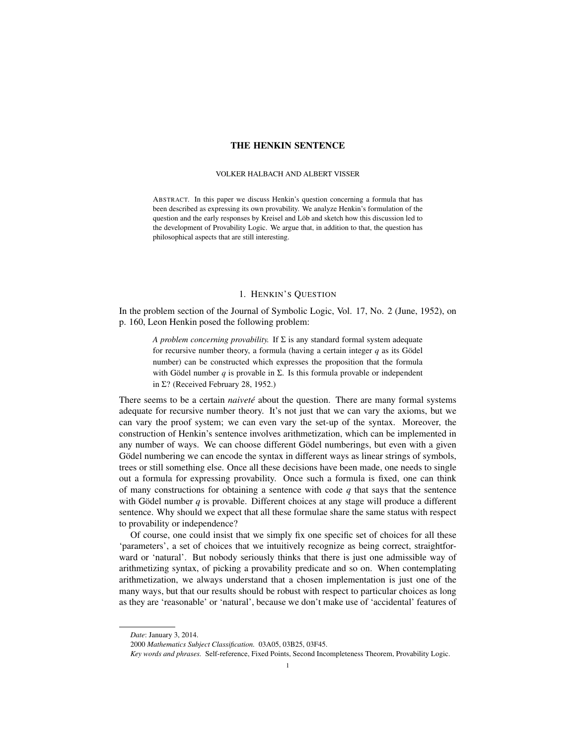### VOLKER HALBACH AND ALBERT VISSER

ABSTRACT. In this paper we discuss Henkin's question concerning a formula that has been described as expressing its own provability. We analyze Henkin's formulation of the question and the early responses by Kreisel and Löb and sketch how this discussion led to the development of Provability Logic. We argue that, in addition to that, the question has philosophical aspects that are still interesting.

# 1. HENKIN'S QUESTION

In the problem section of the Journal of Symbolic Logic, Vol. 17, No. 2 (June, 1952), on p. 160, Leon Henkin posed the following problem:

*A problem concerning provability.* If Σ is any standard formal system adequate for recursive number theory, a formula (having a certain integer *q* as its Gödel number) can be constructed which expresses the proposition that the formula with Gödel number *q* is provable in Σ. Is this formula provable or independent in Σ? (Received February 28, 1952.)

There seems to be a certain *naiveté* about the question. There are many formal systems adequate for recursive number theory. It's not just that we can vary the axioms, but we can vary the proof system; we can even vary the set-up of the syntax. Moreover, the construction of Henkin's sentence involves arithmetization, which can be implemented in any number of ways. We can choose different Gödel numberings, but even with a given Gödel numbering we can encode the syntax in different ways as linear strings of symbols, trees or still something else. Once all these decisions have been made, one needs to single out a formula for expressing provability. Once such a formula is fixed, one can think of many constructions for obtaining a sentence with code  $q$  that says that the sentence with Gödel number *q* is provable. Different choices at any stage will produce a different sentence. Why should we expect that all these formulae share the same status with respect to provability or independence?

Of course, one could insist that we simply fix one specific set of choices for all these 'parameters', a set of choices that we intuitively recognize as being correct, straightforward or 'natural'. But nobody seriously thinks that there is just one admissible way of arithmetizing syntax, of picking a provability predicate and so on. When contemplating arithmetization, we always understand that a chosen implementation is just one of the many ways, but that our results should be robust with respect to particular choices as long as they are 'reasonable' or 'natural', because we don't make use of 'accidental' features of

*Date*: January 3, 2014.

<sup>2000</sup> *Mathematics Subject Classification.* 03A05, 03B25, 03F45.

*Key words and phrases.* Self-reference, Fixed Points, Second Incompleteness Theorem, Provability Logic.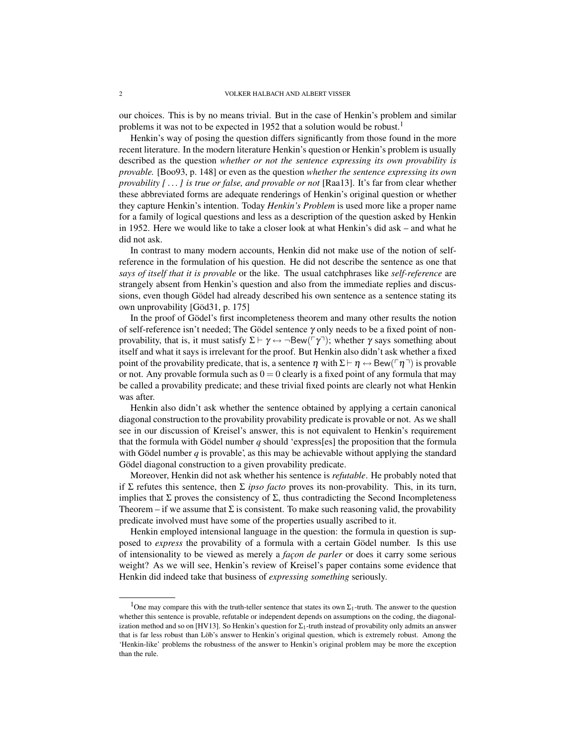our choices. This is by no means trivial. But in the case of Henkin's problem and similar problems it was not to be expected in 1952 that a solution would be robust.<sup>1</sup>

Henkin's way of posing the question differs significantly from those found in the more recent literature. In the modern literature Henkin's question or Henkin's problem is usually described as the question *whether or not the sentence expressing its own provability is provable.* [Boo93, p. 148] or even as the question *whether the sentence expressing its own provability [ . . . ] is true or false, and provable or not* [Raa13]. It's far from clear whether these abbreviated forms are adequate renderings of Henkin's original question or whether they capture Henkin's intention. Today *Henkin's Problem* is used more like a proper name for a family of logical questions and less as a description of the question asked by Henkin in 1952. Here we would like to take a closer look at what Henkin's did ask – and what he did not ask.

In contrast to many modern accounts, Henkin did not make use of the notion of selfreference in the formulation of his question. He did not describe the sentence as one that *says of itself that it is provable* or the like. The usual catchphrases like *self-reference* are strangely absent from Henkin's question and also from the immediate replies and discussions, even though Gödel had already described his own sentence as a sentence stating its own unprovability [Göd31, p. 175]

In the proof of Gödel's first incompleteness theorem and many other results the notion of self-reference isn't needed; The Gödel sentence  $\gamma$  only needs to be a fixed point of nonprovability, that is, it must satisfy  $\Sigma \vdash \gamma \leftrightarrow \neg \text{Bew}(\ulcorner \gamma \urcorner);$  whether  $\gamma$  says something about itself and what it says is irrelevant for the proof. But Henkin also didn't ask whether a fixed point of the provability predicate, that is, a sentence  $\eta$  with  $\Sigma \vdash \eta \leftrightarrow \text{Bew}(\ulcorner \eta \urcorner)$  is provable or not. Any provable formula such as  $0 = 0$  clearly is a fixed point of any formula that may be called a provability predicate; and these trivial fixed points are clearly not what Henkin was after.

Henkin also didn't ask whether the sentence obtained by applying a certain canonical diagonal construction to the provability provability predicate is provable or not. As we shall see in our discussion of Kreisel's answer, this is not equivalent to Henkin's requirement that the formula with Gödel number *q* should 'express[es] the proposition that the formula with Gödel number  $q$  is provable', as this may be achievable without applying the standard Gödel diagonal construction to a given provability predicate.

Moreover, Henkin did not ask whether his sentence is *refutable*. He probably noted that if Σ refutes this sentence, then Σ *ipso facto* proves its non-provability. This, in its turn, implies that  $\Sigma$  proves the consistency of  $\Sigma$ , thus contradicting the Second Incompleteness Theorem – if we assume that  $\Sigma$  is consistent. To make such reasoning valid, the provability predicate involved must have some of the properties usually ascribed to it.

Henkin employed intensional language in the question: the formula in question is supposed to *express* the provability of a formula with a certain Gödel number. Is this use of intensionality to be viewed as merely a *façon de parler* or does it carry some serious weight? As we will see, Henkin's review of Kreisel's paper contains some evidence that Henkin did indeed take that business of *expressing something* seriously.

<sup>&</sup>lt;sup>1</sup>One may compare this with the truth-teller sentence that states its own  $\Sigma_1$ -truth. The answer to the question whether this sentence is provable, refutable or independent depends on assumptions on the coding, the diagonalization method and so on [HV13]. So Henkin's question for  $\Sigma_1$ -truth instead of provability only admits an answer that is far less robust than Löb's answer to Henkin's original question, which is extremely robust. Among the 'Henkin-like' problems the robustness of the answer to Henkin's original problem may be more the exception than the rule.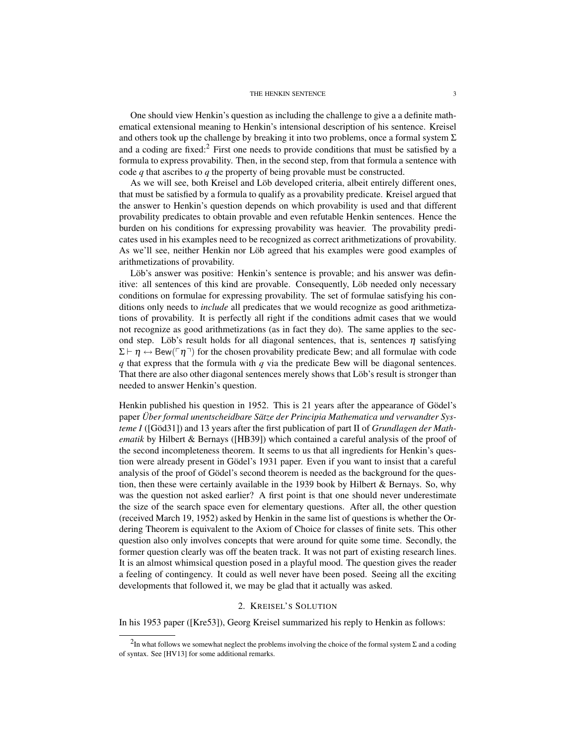One should view Henkin's question as including the challenge to give a a definite mathematical extensional meaning to Henkin's intensional description of his sentence. Kreisel and others took up the challenge by breaking it into two problems, once a formal system  $\Sigma$ and a coding are fixed: $2$  First one needs to provide conditions that must be satisfied by a formula to express provability. Then, in the second step, from that formula a sentence with code *q* that ascribes to *q* the property of being provable must be constructed.

As we will see, both Kreisel and Löb developed criteria, albeit entirely different ones, that must be satisfied by a formula to qualify as a provability predicate. Kreisel argued that the answer to Henkin's question depends on which provability is used and that different provability predicates to obtain provable and even refutable Henkin sentences. Hence the burden on his conditions for expressing provability was heavier. The provability predicates used in his examples need to be recognized as correct arithmetizations of provability. As we'll see, neither Henkin nor Löb agreed that his examples were good examples of arithmetizations of provability.

Löb's answer was positive: Henkin's sentence is provable; and his answer was definitive: all sentences of this kind are provable. Consequently, Löb needed only necessary conditions on formulae for expressing provability. The set of formulae satisfying his conditions only needs to *include* all predicates that we would recognize as good arithmetizations of provability. It is perfectly all right if the conditions admit cases that we would not recognize as good arithmetizations (as in fact they do). The same applies to the second step. Löb's result holds for all diagonal sentences, that is, sentences  $\eta$  satisfying  $\Sigma \vdash \eta \leftrightarrow \text{Bew}(\ulcorner \eta \urcorner)$  for the chosen provability predicate Bew; and all formulae with code *q* that express that the formula with *q* via the predicate Bew will be diagonal sentences. That there are also other diagonal sentences merely shows that Löb's result is stronger than needed to answer Henkin's question.

Henkin published his question in 1952. This is 21 years after the appearance of Gödel's paper *Über formal unentscheidbare Sätze der Principia Mathematica und verwandter Systeme I* ([Göd31]) and 13 years after the first publication of part II of *Grundlagen der Mathematik* by Hilbert & Bernays ([HB39]) which contained a careful analysis of the proof of the second incompleteness theorem. It seems to us that all ingredients for Henkin's question were already present in Gödel's 1931 paper. Even if you want to insist that a careful analysis of the proof of Gödel's second theorem is needed as the background for the question, then these were certainly available in the 1939 book by Hilbert  $\&$  Bernays. So, why was the question not asked earlier? A first point is that one should never underestimate the size of the search space even for elementary questions. After all, the other question (received March 19, 1952) asked by Henkin in the same list of questions is whether the Ordering Theorem is equivalent to the Axiom of Choice for classes of finite sets. This other question also only involves concepts that were around for quite some time. Secondly, the former question clearly was off the beaten track. It was not part of existing research lines. It is an almost whimsical question posed in a playful mood. The question gives the reader a feeling of contingency. It could as well never have been posed. Seeing all the exciting developments that followed it, we may be glad that it actually was asked.

# 2. KREISEL'S SOLUTION

In his 1953 paper ([Kre53]), Georg Kreisel summarized his reply to Henkin as follows:

<sup>&</sup>lt;sup>2</sup>In what follows we somewhat neglect the problems involving the choice of the formal system Σ and a coding of syntax. See [HV13] for some additional remarks.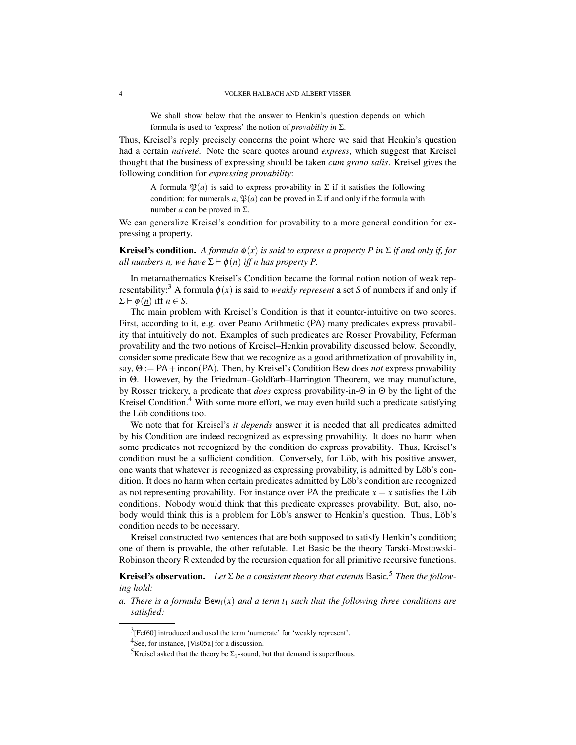We shall show below that the answer to Henkin's question depends on which formula is used to 'express' the notion of *provability in* Σ.

Thus, Kreisel's reply precisely concerns the point where we said that Henkin's question had a certain *naiveté*. Note the scare quotes around *express*, which suggest that Kreisel thought that the business of expressing should be taken *cum grano salis*. Kreisel gives the following condition for *expressing provability*:

A formula  $\mathfrak{P}(a)$  is said to express provability in  $\Sigma$  if it satisfies the following condition: for numerals *a*,  $\mathfrak{P}(a)$  can be proved in  $\Sigma$  if and only if the formula with number *a* can be proved in  $Σ$ .

We can generalize Kreisel's condition for provability to a more general condition for expressing a property.

**Kreisel's condition.** *A formula*  $\phi(x)$  *is said to express a property P in*  $\Sigma$  *if and only if, for all numbers n, we have*  $\Sigma \vdash \phi(n)$  *iff n has property P.* 

In metamathematics Kreisel's Condition became the formal notion notion of weak representability:<sup>3</sup> A formula  $\phi(x)$  is said to *weakly represent* a set *S* of numbers if and only if  $\Sigma \vdash \phi(n)$  iff  $n \in S$ .

The main problem with Kreisel's Condition is that it counter-intuitive on two scores. First, according to it, e.g. over Peano Arithmetic (PA) many predicates express provability that intuitively do not. Examples of such predicates are Rosser Provability, Feferman provability and the two notions of Kreisel–Henkin provability discussed below. Secondly, consider some predicate Bew that we recognize as a good arithmetization of provability in, say, Θ := PA+incon(PA). Then, by Kreisel's Condition Bew does *not* express provability in Θ. However, by the Friedman–Goldfarb–Harrington Theorem, we may manufacture, by Rosser trickery, a predicate that *does* express provability-in-Θ in Θ by the light of the Kreisel Condition.<sup>4</sup> With some more effort, we may even build such a predicate satisfying the Löb conditions too.

We note that for Kreisel's *it depends* answer it is needed that all predicates admitted by his Condition are indeed recognized as expressing provability. It does no harm when some predicates not recognized by the condition do express provability. Thus, Kreisel's condition must be a sufficient condition. Conversely, for Löb, with his positive answer, one wants that whatever is recognized as expressing provability, is admitted by Löb's condition. It does no harm when certain predicates admitted by Löb's condition are recognized as not representing provability. For instance over PA the predicate  $x = x$  satisfies the Löb conditions. Nobody would think that this predicate expresses provability. But, also, nobody would think this is a problem for Löb's answer to Henkin's question. Thus, Löb's condition needs to be necessary.

Kreisel constructed two sentences that are both supposed to satisfy Henkin's condition; one of them is provable, the other refutable. Let Basic be the theory Tarski-Mostowski-Robinson theory R extended by the recursion equation for all primitive recursive functions.

Kreisel's observation. *Let* Σ *be a consistent theory that extends* Basic*.* <sup>5</sup> *Then the following hold:*

*a. There is a formula*  $Bew<sub>I</sub>(x)$  *and a term t<sub>1</sub> such that the following three conditions are satisfied:*

 $3$ [Fef60] introduced and used the term 'numerate' for 'weakly represent'.

<sup>4</sup>See, for instance, [Vis05a] for a discussion.

<sup>&</sup>lt;sup>5</sup>Kreisel asked that the theory be  $\Sigma_1$ -sound, but that demand is superfluous.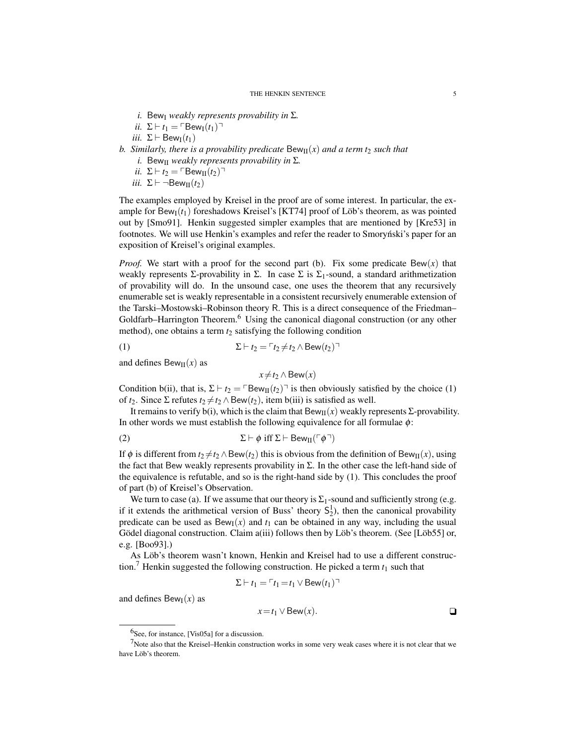*i.* Bew<sub>I</sub> weakly represents provability in  $\Sigma$ .

*ii.*  $\Sigma \vdash t_1 = \ulcorner \text{BewI}(t_1) \urcorner$ 

$$
iii. \ \Sigma \vdash \mathsf{Bew}_{\mathrm{I}}(t_1)
$$

b. Similarly, there is a provability predicate 
$$
\text{Bew}_{II}(x)
$$
 and a term  $t_2$  such that

- *i.* Bew<sub>II</sub> weakly represents provability in  $\Sigma$ .
- *ii.*  $\Sigma \vdash t_2 = \ulcorner \text{Bew}_{II}(t_2) \urcorner$
- *iii.*  $\Sigma \vdash \neg \text{Bew}_{\text{II}}(t_2)$

The examples employed by Kreisel in the proof are of some interest. In particular, the example for  $Bew<sub>I</sub>(t<sub>1</sub>)$  foreshadows Kreisel's [KT74] proof of Löb's theorem, as was pointed out by [Smo91]. Henkin suggested simpler examples that are mentioned by [Kre53] in footnotes. We will use Henkin's examples and refer the reader to Smoryntski's paper for an exposition of Kreisel's original examples.

*Proof.* We start with a proof for the second part (b). Fix some predicate  $Bew(x)$  that weakly represents Σ-provability in Σ. In case Σ is  $\Sigma_1$ -sound, a standard arithmetization of provability will do. In the unsound case, one uses the theorem that any recursively enumerable set is weakly representable in a consistent recursively enumerable extension of the Tarski–Mostowski–Robinson theory R. This is a direct consequence of the Friedman– Goldfarb–Harrington Theorem.<sup>6</sup> Using the canonical diagonal construction (or any other method), one obtains a term  $t_2$  satisfying the following condition

(1) 
$$
\Sigma \vdash t_2 = \ulcorner t_2 \neq t_2 \land \text{Bew}(t_2) \urcorner
$$

and defines  $Bew_{II}(x)$  as

$$
x \neq t_2 \wedge \text{Bew}(x)
$$

Condition b(ii), that is,  $\Sigma \vdash t_2 = \square Bew_{\text{II}}(t_2) \top$  is then obviously satisfied by the choice (1) of  $t_2$ . Since  $\Sigma$  refutes  $t_2 \neq t_2 \wedge$  Bew( $t_2$ ), item b(iii) is satisfied as well.

It remains to verify b(i), which is the claim that  $Bew_{II}(x)$  weakly represents  $\Sigma$ -provability. In other words we must establish the following equivalence for all formulae  $\phi$ :

(2) 
$$
\Sigma \vdash \phi \text{ iff } \Sigma \vdash \text{Bew}_{\text{II}}(\ulcorner \phi \urcorner)
$$

If  $\phi$  is different from  $t_2 \neq t_2 \land$  Bew( $t_2$ ) this is obvious from the definition of Bew<sub>II</sub>(*x*), using the fact that Bew weakly represents provability in  $\Sigma$ . In the other case the left-hand side of the equivalence is refutable, and so is the right-hand side by (1). This concludes the proof of part (b) of Kreisel's Observation.

We turn to case (a). If we assume that our theory is  $\Sigma_1$ -sound and sufficiently strong (e.g. if it extends the arithmetical version of Buss' theory  $S_2^1$ ), then the canonical provability predicate can be used as  $Bew<sub>I</sub>(x)$  and  $t<sub>1</sub>$  can be obtained in any way, including the usual Gödel diagonal construction. Claim a(iii) follows then by Löb's theorem. (See [Löb55] or, e.g. [Boo93].)

As Löb's theorem wasn't known, Henkin and Kreisel had to use a different construction.<sup>7</sup> Henkin suggested the following construction. He picked a term  $t_1$  such that

$$
\Sigma \vdash t_1 = \ulcorner t_1 = t_1 \lor \text{Bew}(t_1) \urcorner
$$

and defines  $Bew_I(x)$  as

$$
x = t_1 \vee \text{Bew}(x).
$$

<sup>&</sup>lt;sup>6</sup>See, for instance, [Vis05a] for a discussion.

<sup>7</sup>Note also that the Kreisel–Henkin construction works in some very weak cases where it is not clear that we have Löb's theorem.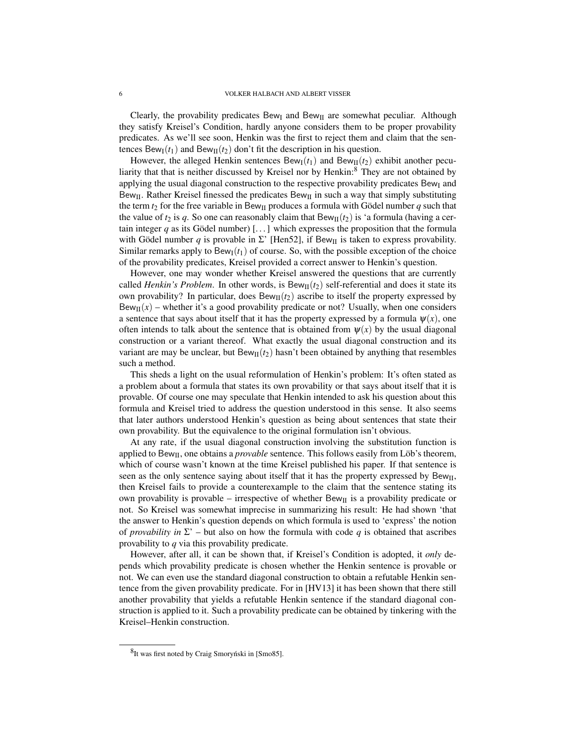Clearly, the provability predicates  $Bew<sub>I</sub>$  and  $Bew<sub>II</sub>$  are somewhat peculiar. Although they satisfy Kreisel's Condition, hardly anyone considers them to be proper provability predicates. As we'll see soon, Henkin was the first to reject them and claim that the sentences  $Bew_I(t_1)$  and  $Bew_{II}(t_2)$  don't fit the description in his question.

However, the alleged Henkin sentences  $Bew_{I}(t_1)$  and  $Bew_{II}(t_2)$  exhibit another peculiarity that that is neither discussed by Kreisel nor by Henkin:<sup>8</sup> They are not obtained by applying the usual diagonal construction to the respective provability predicates  $Bew<sub>I</sub>$  and Bew<sub>II</sub>. Rather Kreisel finessed the predicates Bew<sub>II</sub> in such a way that simply substituting the term  $t_2$  for the free variable in Bew<sub>II</sub> produces a formula with Gödel number q such that the value of  $t_2$  is *q*. So one can reasonably claim that  $Bew_{II}(t_2)$  is 'a formula (having a certain integer *q* as its Gödel number) [. . . ] which expresses the proposition that the formula with Gödel number *q* is provable in  $\Sigma$ <sup>'</sup> [Hen52], if Bew<sub>II</sub> is taken to express provability. Similar remarks apply to  $Bew<sub>I</sub>(t<sub>1</sub>)$  of course. So, with the possible exception of the choice of the provability predicates, Kreisel provided a correct answer to Henkin's question.

However, one may wonder whether Kreisel answered the questions that are currently called *Henkin's Problem*. In other words, is  $Bew_{II}(t_2)$  self-referential and does it state its own provability? In particular, does  $Bew_{II}(t_2)$  ascribe to itself the property expressed by  $Bew_{II}(x)$  – whether it's a good provability predicate or not? Usually, when one considers a sentence that says about itself that it has the property expressed by a formula  $\psi(x)$ , one often intends to talk about the sentence that is obtained from  $\psi(x)$  by the usual diagonal construction or a variant thereof. What exactly the usual diagonal construction and its variant are may be unclear, but  $Bew_{II}(t_2)$  hasn't been obtained by anything that resembles such a method.

This sheds a light on the usual reformulation of Henkin's problem: It's often stated as a problem about a formula that states its own provability or that says about itself that it is provable. Of course one may speculate that Henkin intended to ask his question about this formula and Kreisel tried to address the question understood in this sense. It also seems that later authors understood Henkin's question as being about sentences that state their own provability. But the equivalence to the original formulation isn't obvious.

At any rate, if the usual diagonal construction involving the substitution function is applied to Bew<sub>II</sub>, one obtains a *provable* sentence. This follows easily from Löb's theorem, which of course wasn't known at the time Kreisel published his paper. If that sentence is seen as the only sentence saying about itself that it has the property expressed by  $Bew_{II}$ , then Kreisel fails to provide a counterexample to the claim that the sentence stating its own provability is provable – irrespective of whether  $Bew_{II}$  is a provability predicate or not. So Kreisel was somewhat imprecise in summarizing his result: He had shown 'that the answer to Henkin's question depends on which formula is used to 'express' the notion of *provability in*  $\Sigma$ <sup>*'</sup>* – but also on how the formula with code *q* is obtained that ascribes</sup> provability to *q* via this provability predicate.

However, after all, it can be shown that, if Kreisel's Condition is adopted, it *only* depends which provability predicate is chosen whether the Henkin sentence is provable or not. We can even use the standard diagonal construction to obtain a refutable Henkin sentence from the given provability predicate. For in [HV13] it has been shown that there still another provability that yields a refutable Henkin sentence if the standard diagonal construction is applied to it. Such a provability predicate can be obtained by tinkering with the Kreisel–Henkin construction.

<sup>&</sup>lt;sup>8</sup>It was first noted by Craig Smoryński in [Smo85].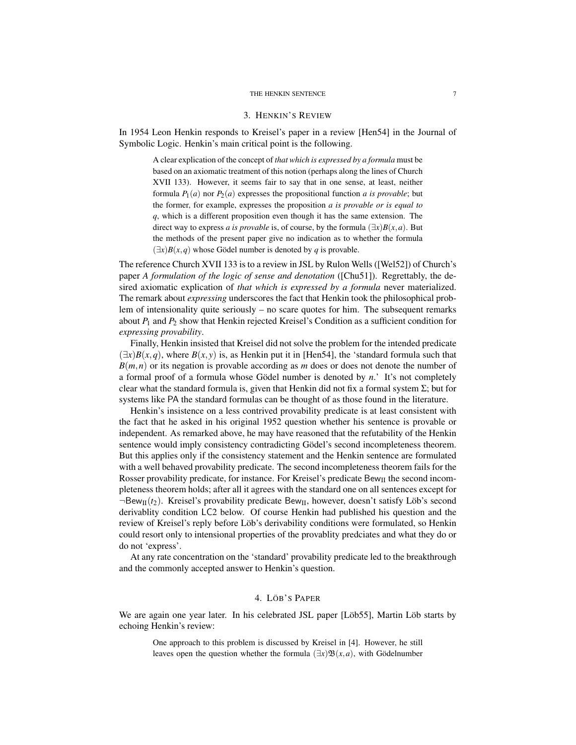#### 3. HENKIN'S REVIEW

In 1954 Leon Henkin responds to Kreisel's paper in a review [Hen54] in the Journal of Symbolic Logic. Henkin's main critical point is the following.

A clear explication of the concept of *that which is expressed by a formula* must be based on an axiomatic treatment of this notion (perhaps along the lines of Church XVII 133). However, it seems fair to say that in one sense, at least, neither formula  $P_1(a)$  nor  $P_2(a)$  expresses the propositional function *a* is provable; but the former, for example, expresses the proposition *a is provable or is equal to q*, which is a different proposition even though it has the same extension. The direct way to express *a* is *provable* is, of course, by the formula  $(\exists x)B(x, a)$ . But the methods of the present paper give no indication as to whether the formula  $(\exists x)B(x, q)$  whose Gödel number is denoted by *q* is provable.

The reference Church XVII 133 is to a review in JSL by Rulon Wells ([Wel52]) of Church's paper *A formulation of the logic of sense and denotation* ([Chu51]). Regrettably, the desired axiomatic explication of *that which is expressed by a formula* never materialized. The remark about *expressing* underscores the fact that Henkin took the philosophical problem of intensionality quite seriously – no scare quotes for him. The subsequent remarks about *P*<sup>1</sup> and *P*<sup>2</sup> show that Henkin rejected Kreisel's Condition as a sufficient condition for *expressing provability*.

Finally, Henkin insisted that Kreisel did not solve the problem for the intended predicate  $(\exists x)B(x,q)$ , where  $B(x,y)$  is, as Henkin put it in [Hen54], the 'standard formula such that *B*(*m*,*n*) or its negation is provable according as *m* does or does not denote the number of a formal proof of a formula whose Gödel number is denoted by *n*.' It's not completely clear what the standard formula is, given that Henkin did not fix a formal system  $\Sigma$ ; but for systems like PA the standard formulas can be thought of as those found in the literature.

Henkin's insistence on a less contrived provability predicate is at least consistent with the fact that he asked in his original 1952 question whether his sentence is provable or independent. As remarked above, he may have reasoned that the refutability of the Henkin sentence would imply consistency contradicting Gödel's second incompleteness theorem. But this applies only if the consistency statement and the Henkin sentence are formulated with a well behaved provability predicate. The second incompleteness theorem fails for the Rosser provability predicate, for instance. For Kreisel's predicate  $Bew_{II}$  the second incompleteness theorem holds; after all it agrees with the standard one on all sentences except for  $\neg\text{Bew}_{II}(t_2)$ . Kreisel's provability predicate Bew<sub>II</sub>, however, doesn't satisfy Löb's second derivablity condition LC2 below. Of course Henkin had published his question and the review of Kreisel's reply before Löb's derivability conditions were formulated, so Henkin could resort only to intensional properties of the provablity predciates and what they do or do not 'express'.

At any rate concentration on the 'standard' provability predicate led to the breakthrough and the commonly accepted answer to Henkin's question.

### 4. LÖB'S PAPER

We are again one year later. In his celebrated JSL paper [Löb55], Martin Löb starts by echoing Henkin's review:

One approach to this problem is discussed by Kreisel in [4]. However, he still leaves open the question whether the formula  $(\exists x) \mathfrak{B}(x, a)$ , with Gödelnumber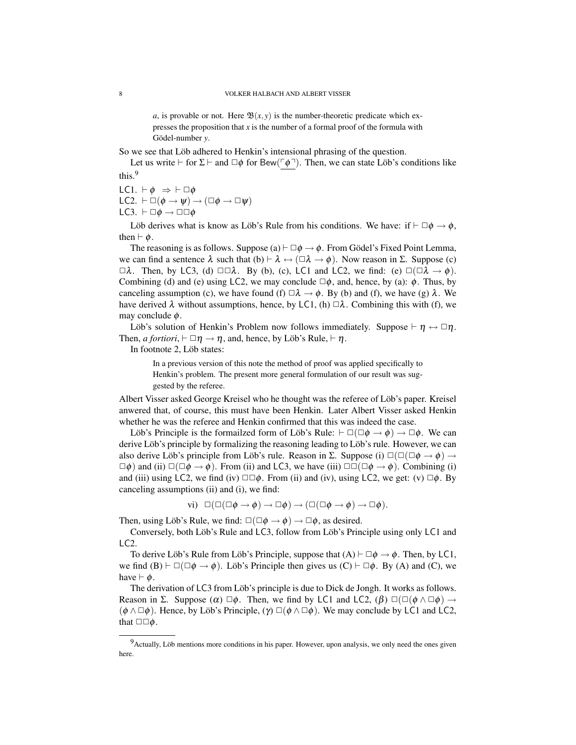*a*, is provable or not. Here  $\mathfrak{B}(x, y)$  is the number-theoretic predicate which expresses the proposition that *x* is the number of a formal proof of the formula with Gödel-number *y*.

So we see that Löb adhered to Henkin's intensional phrasing of the question.

Let us write  $\vdash$  for  $\Sigma \vdash$  and  $\Box \phi$  for Bew( $\ulcorner \phi \urcorner$ ). Then, we can state Löb's conditions like this.<sup>9</sup>

$$
\begin{array}{l}\n\mathsf{LC1.} \vdash \phi \Rightarrow \vdash \Box \phi \\
\mathsf{LC2.} \vdash \Box (\phi \rightarrow \psi) \rightarrow (\Box \phi \rightarrow \Box \psi) \\
\mathsf{LC3.} \vdash \Box \phi \rightarrow \Box \Box \phi\n\end{array}
$$

Löb derives what is know as Löb's Rule from his conditions. We have: if  $\vdash \Box \phi \rightarrow \phi$ , then  $\vdash \phi$ .

The reasoning is as follows. Suppose (a)  $\vdash \Box \phi \rightarrow \phi$ . From Gödel's Fixed Point Lemma, we can find a sentence  $\lambda$  such that  $(b) \vdash \lambda \leftrightarrow (\Box \lambda \rightarrow \phi)$ . Now reason in  $\Sigma$ . Suppose (c)  $\Box \lambda$ . Then, by LC3, (d)  $\Box \Box \lambda$ . By (b), (c), LC1 and LC2, we find: (e)  $\Box (\Box \lambda \rightarrow \phi)$ . Combining (d) and (e) using LC2, we may conclude  $\Box \phi$ , and, hence, by (a):  $\phi$ . Thus, by canceling assumption (c), we have found (f)  $\square \lambda \rightarrow \phi$ . By (b) and (f), we have (g)  $\lambda$ . We have derived  $\lambda$  without assumptions, hence, by LC1, (h)  $\Box \lambda$ . Combining this with (f), we may conclude  $\phi$ .

Löb's solution of Henkin's Problem now follows immediately. Suppose  $\vdash \eta \leftrightarrow \Box \eta$ . Then, *a fortiori*,  $\vdash \Box \eta \rightarrow \eta$ , and, hence, by Löb's Rule,  $\vdash \eta$ .

In footnote 2, Löb states:

In a previous version of this note the method of proof was applied specifically to Henkin's problem. The present more general formulation of our result was suggested by the referee.

Albert Visser asked George Kreisel who he thought was the referee of Löb's paper. Kreisel anwered that, of course, this must have been Henkin. Later Albert Visser asked Henkin whether he was the referee and Henkin confirmed that this was indeed the case.

Löb's Principle is the formailzed form of Löb's Rule:  $\vdash \Box(\Box \phi \rightarrow \phi) \rightarrow \Box \phi$ . We can derive Löb's principle by formalizing the reasoning leading to Löb's rule. However, we can also derive Löb's principle from Löb's rule. Reason in Σ. Suppose (i)  $\Box(\Box(\Box \phi \rightarrow \phi) \rightarrow \Diamond$  $\Box \phi$ ) and (ii)  $\Box (\Box \phi \rightarrow \phi)$ . From (ii) and LC3, we have (iii)  $\Box \Box (\Box \phi \rightarrow \phi)$ . Combining (i) and (iii) using LC2, we find (iv)  $\Box \Box \phi$ . From (ii) and (iv), using LC2, we get: (v)  $\Box \phi$ . By canceling assumptions (ii) and (i), we find:

$$
\mathrm{vi})\quad \square(\square(\square \phi\rightarrow \phi)\rightarrow\square \phi)\rightarrow (\square(\square \phi\rightarrow \phi)\rightarrow\square \phi).
$$

Then, using Löb's Rule, we find:  $\square(\square \phi \rightarrow \phi) \rightarrow \square \phi$ , as desired.

Conversely, both Löb's Rule and LC3, follow from Löb's Principle using only LC1 and LC2.

To derive Löb's Rule from Löb's Principle, suppose that  $(A) \vdash \Box \phi \rightarrow \phi$ . Then, by LC1, we find (B)  $\vdash \Box(\Box \phi \rightarrow \phi)$ . Löb's Principle then gives us (C)  $\vdash \Box \phi$ . By (A) and (C), we have  $\vdash \phi$ .

The derivation of LC3 from Löb's principle is due to Dick de Jongh. It works as follows. Reason in Σ. Suppose  $(\alpha) \Box \phi$ . Then, we find by LC1 and LC2,  $(\beta) \Box (\Box (\phi \land \Box \phi) \rightarrow \phi)$  $(\phi \land \Box \phi)$ . Hence, by Löb's Principle,  $(\gamma) \Box (\phi \land \Box \phi)$ . We may conclude by LC1 and LC2, that  $\square \square \phi$ .

<sup>&</sup>lt;sup>9</sup>Actually, Löb mentions more conditions in his paper. However, upon analysis, we only need the ones given here.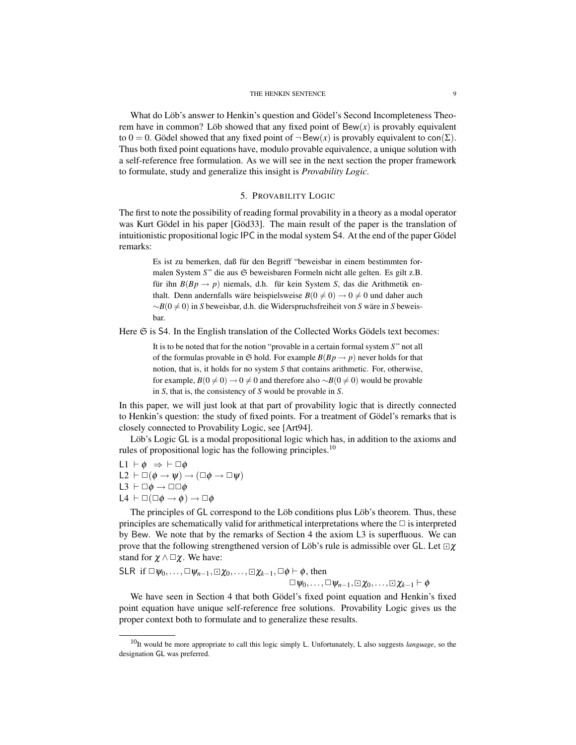What do Löb's answer to Henkin's question and Gödel's Second Incompleteness Theorem have in common? Löb showed that any fixed point of  $Bew(x)$  is provably equivalent to  $0 = 0$ . Gödel showed that any fixed point of  $\neg$ Bew(x) is provably equivalent to con(Σ). Thus both fixed point equations have, modulo provable equivalence, a unique solution with a self-reference free formulation. As we will see in the next section the proper framework to formulate, study and generalize this insight is *Provability Logic*.

## 5. PROVABILITY LOGIC

The first to note the possibility of reading formal provability in a theory as a modal operator was Kurt Gödel in his paper [Göd33]. The main result of the paper is the translation of intuitionistic propositional logic IPC in the modal system S4. At the end of the paper Gödel remarks:

Es ist zu bemerken, daß für den Begriff "beweisbar in einem bestimmten formalen System *S*" die aus  $\Im$  beweisbaren Formeln nicht alle gelten. Es gilt z.B. für ihn  $B(Bp \to p)$  niemals, d.h. für kein System *S*, das die Arithmetik enthalt. Denn andernfalls wäre beispielsweise  $B(0 \neq 0) \rightarrow 0 \neq 0$  und daher auch  $~\sim$ *B*(0  $\neq$  0) in *S* beweisbar, d.h. die Widerspruchsfreiheit von *S* wäre in *S* beweisbar.

Here  $\Im$  is S4. In the English translation of the Collected Works Gödels text becomes:

It is to be noted that for the notion "provable in a certain formal system *S*" not all of the formulas provable in  $\mathfrak S$  hold. For example  $B(Bp \to p)$  never holds for that notion, that is, it holds for no system *S* that contains arithmetic. For, otherwise, for example,  $B(0 \neq 0)$  → 0  $\neq$  0 and therefore also  $\sim$ *B*(0  $\neq$  0) would be provable in *S*, that is, the consistency of *S* would be provable in *S*.

In this paper, we will just look at that part of provability logic that is directly connected to Henkin's question: the study of fixed points. For a treatment of Gödel's remarks that is closely connected to Provability Logic, see [Art94].

Löb's Logic GL is a modal propositional logic which has, in addition to the axioms and rules of propositional logic has the following principles.<sup>10</sup>

 $L1 \vdash \phi \Rightarrow \vdash \Box \phi$  $L2 \vdash \Box(\phi \rightarrow \psi) \rightarrow (\Box \phi \rightarrow \Box \psi)$  $L3 \vdash \Box \phi \rightarrow \Box \Box \phi$  $L4 \vdash \Box(\Box \phi \rightarrow \phi) \rightarrow \Box \phi$ 

The principles of GL correspond to the Löb conditions plus Löb's theorem. Thus, these principles are schematically valid for arithmetical interpretations where the  $\Box$  is interpreted by Bew. We note that by the remarks of Section 4 the axiom L3 is superfluous. We can prove that the following strengthened version of Löb's rule is admissible over GL. Let  $\Box \chi$ stand for  $\chi \wedge \Box \chi$ . We have:

**SLR** if 
$$
\Box \psi_0, \dots, \Box \psi_{n-1}, \Box \chi_0, \dots, \Box \chi_{k-1}, \Box \phi \vdash \phi
$$
, then  
 $\Box \psi_0, \dots, \Box \psi_{n-1}, \Box \chi_0, \dots, \Box \chi_{k-1} \vdash \phi$ 

We have seen in Section 4 that both Gödel's fixed point equation and Henkin's fixed point equation have unique self-reference free solutions. Provability Logic gives us the proper context both to formulate and to generalize these results.

<sup>10</sup>It would be more appropriate to call this logic simply L. Unfortunately, L also suggests *language*, so the designation GL was preferred.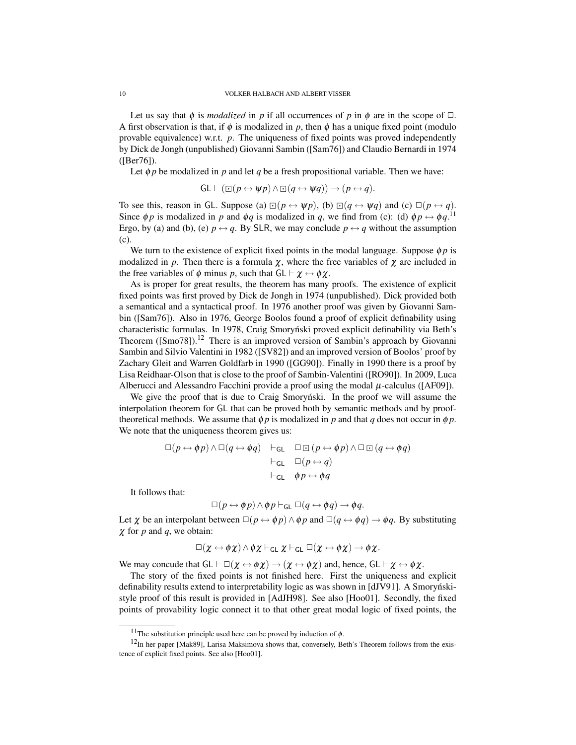Let us say that  $\phi$  is *modalized* in *p* if all occurrences of *p* in  $\phi$  are in the scope of  $\Box$ . A first observation is that, if  $\phi$  is modalized in p, then  $\phi$  has a unique fixed point (modulo provable equivalence) w.r.t. *p*. The uniqueness of fixed points was proved independently by Dick de Jongh (unpublished) Giovanni Sambin ([Sam76]) and Claudio Bernardi in 1974 ([Ber76]).

Let  $\phi p$  be modalized in  $p$  and let  $q$  be a fresh propositional variable. Then we have:

$$
\mathsf{GL}\vdash (\Box (p\leftrightarrow \psi p)\land \Box (q\leftrightarrow \psi q))\rightarrow (p\leftrightarrow q).
$$

To see this, reason in GL. Suppose (a)  $\Box(p \leftrightarrow \psi p)$ , (b)  $\Box(q \leftrightarrow \psi q)$  and (c)  $\Box(p \leftrightarrow q)$ .<br>Since the is modelized in n and the is modelized in a we find from (a); (d) the substitution Since  $\phi p$  is modalized in *p* and  $\phi q$  is modalized in *q*, we find from (c): (d)  $\phi p \leftrightarrow \phi q$ .<sup>11</sup> Ergo, by (a) and (b), (e)  $p \leftrightarrow q$ . By SLR, we may conclude  $p \leftrightarrow q$  without the assumption (c).

We turn to the existence of explicit fixed points in the modal language. Suppose  $\phi p$  is modalized in *p*. Then there is a formula  $\chi$ , where the free variables of  $\chi$  are included in the free variables of  $\phi$  minus p, such that  $GL \vdash \chi \leftrightarrow \phi \chi$ .

As is proper for great results, the theorem has many proofs. The existence of explicit fixed points was first proved by Dick de Jongh in 1974 (unpublished). Dick provided both a semantical and a syntactical proof. In 1976 another proof was given by Giovanni Sambin ([Sam76]). Also in 1976, George Boolos found a proof of explicit definability using characteristic formulas. In 1978, Craig Smorynski proved explicit definability via Beth's ´ Theorem  $([Smo78])$ .<sup>12</sup> There is an improved version of Sambin's approach by Giovanni Sambin and Silvio Valentini in 1982 ([SV82]) and an improved version of Boolos' proof by Zachary Gleit and Warren Goldfarb in 1990 ([GG90]). Finally in 1990 there is a proof by Lisa Reidhaar-Olson that is close to the proof of Sambin-Valentini ([RO90]). In 2009, Luca Alberucci and Alessandro Facchini provide a proof using the modal  $\mu$ -calculus ([AF09]).

We give the proof that is due to Craig Smorynski. In the proof we will assume the interpolation theorem for GL that can be proved both by semantic methods and by prooftheoretical methods. We assume that  $\phi p$  is modalized in p and that q does not occur in  $\phi p$ . We note that the uniqueness theorem gives us:

$$
\Box(p \leftrightarrow \phi p) \land \Box(q \leftrightarrow \phi q) \quad \vdash_{\mathsf{GL}} \quad \Box \Box(p \leftrightarrow \phi p) \land \Box \Box(q \leftrightarrow \phi q)
$$

$$
\vdash_{\mathsf{GL}} \quad \Box(p \leftrightarrow q)
$$

$$
\vdash_{\mathsf{GL}} \quad \phi p \leftrightarrow \phi q
$$

It follows that:

$$
\Box(p \leftrightarrow \phi p) \land \phi p \vdash_{\mathsf{GL}} \Box(q \leftrightarrow \phi q) \to \phi q.
$$

Let  $\chi$  be an interpolant between  $\Box(p \leftrightarrow \phi p) \land \phi p$  and  $\Box(q \leftrightarrow \phi q) \rightarrow \phi q$ . By substituting χ for *p* and *q*, we obtain:

$$
\Box(\chi\leftrightarrow\phi\chi)\wedge\phi\chi\vdash_{\mathsf{GL}}\chi\vdash_{\mathsf{GL}}\Box(\chi\leftrightarrow\phi\chi)\rightarrow\phi\chi.
$$

We may concude that  $GL \vdash \Box(\chi \leftrightarrow \phi \chi) \rightarrow (\chi \leftrightarrow \phi \chi)$  and, hence,  $GL \vdash \chi \leftrightarrow \phi \chi$ .

The story of the fixed points is not finished here. First the uniqueness and explicit definability results extend to interpretability logic as was shown in [dJV91]. A Smoryńskistyle proof of this result is provided in [AdJH98]. See also [Hoo01]. Secondly, the fixed points of provability logic connect it to that other great modal logic of fixed points, the

<sup>&</sup>lt;sup>11</sup>The substitution principle used here can be proved by induction of  $\phi$ .

 $12$ In her paper [Mak89], Larisa Maksimova shows that, conversely, Beth's Theorem follows from the existence of explicit fixed points. See also [Hoo01].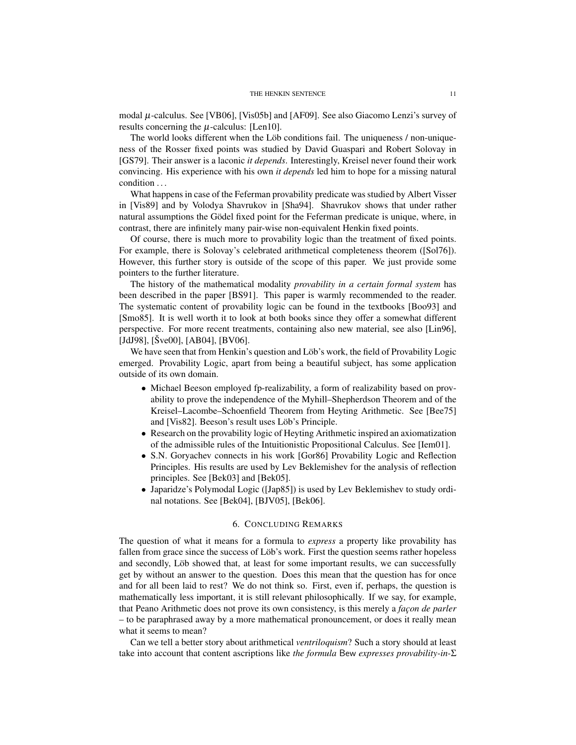modal  $\mu$ -calculus. See [VB06], [Vis05b] and [AF09]. See also Giacomo Lenzi's survey of results concerning the  $\mu$ -calculus: [Len10].

The world looks different when the Löb conditions fail. The uniqueness / non-uniqueness of the Rosser fixed points was studied by David Guaspari and Robert Solovay in [GS79]. Their answer is a laconic *it depends*. Interestingly, Kreisel never found their work convincing. His experience with his own *it depends* led him to hope for a missing natural condition . . .

What happens in case of the Feferman provability predicate was studied by Albert Visser in [Vis89] and by Volodya Shavrukov in [Sha94]. Shavrukov shows that under rather natural assumptions the Gödel fixed point for the Feferman predicate is unique, where, in contrast, there are infinitely many pair-wise non-equivalent Henkin fixed points.

Of course, there is much more to provability logic than the treatment of fixed points. For example, there is Solovay's celebrated arithmetical completeness theorem ([Sol76]). However, this further story is outside of the scope of this paper. We just provide some pointers to the further literature.

The history of the mathematical modality *provability in a certain formal system* has been described in the paper [BS91]. This paper is warmly recommended to the reader. The systematic content of provability logic can be found in the textbooks [Boo93] and [Smo85]. It is well worth it to look at both books since they offer a somewhat different perspective. For more recent treatments, containing also new material, see also [Lin96], [JdJ98], [Šve00], [AB04], [BV06].

We have seen that from Henkin's question and Löb's work, the field of Provability Logic emerged. Provability Logic, apart from being a beautiful subject, has some application outside of its own domain.

- Michael Beeson employed fp-realizability, a form of realizability based on provability to prove the independence of the Myhill–Shepherdson Theorem and of the Kreisel–Lacombe–Schoenfield Theorem from Heyting Arithmetic. See [Bee75] and [Vis82]. Beeson's result uses Löb's Principle.
- Research on the provability logic of Heyting Arithmetic inspired an axiomatization of the admissible rules of the Intuitionistic Propositional Calculus. See [Iem01].
- S.N. Goryachev connects in his work [Gor86] Provability Logic and Reflection Principles. His results are used by Lev Beklemishev for the analysis of reflection principles. See [Bek03] and [Bek05].
- Japaridze's Polymodal Logic ([Jap85]) is used by Lev Beklemishev to study ordinal notations. See [Bek04], [BJV05], [Bek06].

## 6. CONCLUDING REMARKS

The question of what it means for a formula to *express* a property like provability has fallen from grace since the success of Löb's work. First the question seems rather hopeless and secondly, Löb showed that, at least for some important results, we can successfully get by without an answer to the question. Does this mean that the question has for once and for all been laid to rest? We do not think so. First, even if, perhaps, the question is mathematically less important, it is still relevant philosophically. If we say, for example, that Peano Arithmetic does not prove its own consistency, is this merely a *façon de parler* – to be paraphrased away by a more mathematical pronouncement, or does it really mean what it seems to mean?

Can we tell a better story about arithmetical *ventriloquism*? Such a story should at least take into account that content ascriptions like *the formula* Bew *expresses provability-in-*Σ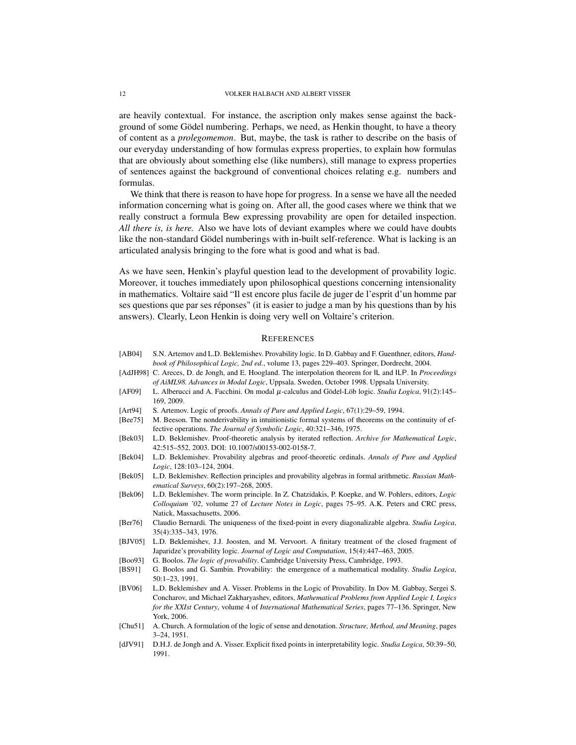### 12 VOLKER HALBACH AND ALBERT VISSER

are heavily contextual. For instance, the ascription only makes sense against the background of some Gödel numbering. Perhaps, we need, as Henkin thought, to have a theory of content as a *prolegomemon*. But, maybe, the task is rather to describe on the basis of our everyday understanding of how formulas express properties, to explain how formulas that are obviously about something else (like numbers), still manage to express properties of sentences against the background of conventional choices relating e.g. numbers and formulas.

We think that there is reason to have hope for progress. In a sense we have all the needed information concerning what is going on. After all, the good cases where we think that we really construct a formula Bew expressing provability are open for detailed inspection. *All there is, is here.* Also we have lots of deviant examples where we could have doubts like the non-standard Gödel numberings with in-built self-reference. What is lacking is an articulated analysis bringing to the fore what is good and what is bad.

As we have seen, Henkin's playful question lead to the development of provability logic. Moreover, it touches immediately upon philosophical questions concerning intensionality in mathematics. Voltaire said "Il est encore plus facile de juger de l'esprit d'un homme par ses questions que par ses réponses" (it is easier to judge a man by his questions than by his answers). Clearly, Leon Henkin is doing very well on Voltaire's criterion.

### **REFERENCES**

- [AB04] S.N. Artemov and L.D. Beklemishev. Provability logic. In D. Gabbay and F. Guenthner, editors, *Handbook of Philosophical Logic, 2nd ed.*, volume 13, pages 229–403. Springer, Dordrecht, 2004.
- [AdJH98] C. Areces, D. de Jongh, and E. Hoogland. The interpolation theorem for IL and ILP. In *Proceedings of AiML98. Advances in Modal Logic*, Uppsala. Sweden, October 1998. Uppsala University.
- [AF09] L. Alberucci and A. Facchini. On modal µ-calculus and Gödel-Löb logic. *Studia Logica*, 91(2):145– 169, 2009.
- [Art94] S. Artemov. Logic of proofs. *Annals of Pure and Applied Logic*, 67(1):29–59, 1994.
- [Bee75] M. Beeson. The nonderivability in intuitionistic formal systems of theorems on the continuity of effective operations. *The Journal of Symbolic Logic*, 40:321–346, 1975.
- [Bek03] L.D. Beklemishev. Proof-theoretic analysis by iterated reflection. *Archive for Mathematical Logic*, 42:515–552, 2003. DOI: 10.1007/s00153-002-0158-7.
- [Bek04] L.D. Beklemishev. Provability algebras and proof-theoretic ordinals. *Annals of Pure and Applied Logic*, 128:103–124, 2004.
- [Bek05] L.D. Beklemishev. Reflection principles and provability algebras in formal arithmetic. *Russian Mathematical Surveys*, 60(2):197–268, 2005.
- [Bek06] L.D. Beklemishev. The worm principle. In Z. Chatzidakis, P. Koepke, and W. Pohlers, editors, *Logic Colloquium '02*, volume 27 of *Lecture Notes in Logic*, pages 75–95. A.K. Peters and CRC press, Natick, Massachusetts, 2006.
- [Ber76] Claudio Bernardi. The uniqueness of the fixed-point in every diagonalizable algebra. *Studia Logica*, 35(4):335–343, 1976.
- [BJV05] L.D. Beklemishev, J.J. Joosten, and M. Vervoort. A finitary treatment of the closed fragment of Japaridze's provability logic. *Journal of Logic and Computation*, 15(4):447–463, 2005.
- [Boo93] G. Boolos. *The logic of provability*. Cambridge University Press, Cambridge, 1993.
- [BS91] G. Boolos and G. Sambin. Provability: the emergence of a mathematical modality. *Studia Logica*, 50:1–23, 1991.
- [BV06] L.D. Beklemishev and A. Visser. Problems in the Logic of Provability. In Dov M. Gabbay, Sergei S. Concharov, and Michael Zakharyashev, editors, *Mathematical Problems from Applied Logic I, Logics for the XXIst Century*, volume 4 of *International Mathematical Series*, pages 77–136. Springer, New York, 2006.
- [Chu51] A. Church. A formulation of the logic of sense and denotation. *Structure, Method, and Meaning*, pages 3–24, 1951.
- [dJV91] D.H.J. de Jongh and A. Visser. Explicit fixed points in interpretability logic. *Studia Logica*, 50:39–50, 1991.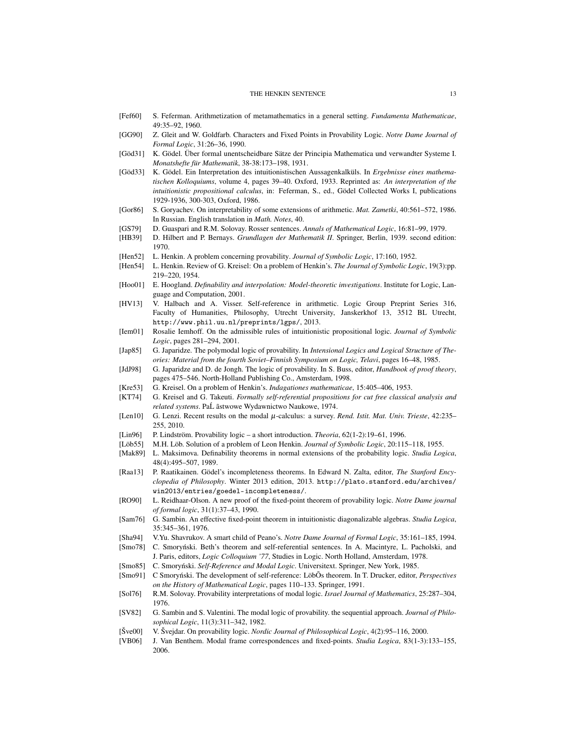- [Fef60] S. Feferman. Arithmetization of metamathematics in a general setting. *Fundamenta Mathematicae*, 49:35–92, 1960.
- [GG90] Z. Gleit and W. Goldfarb. Characters and Fixed Points in Provability Logic. *Notre Dame Journal of Formal Logic*, 31:26–36, 1990.
- [Göd31] K. Gödel. Über formal unentscheidbare Sätze der Principia Mathematica und verwandter Systeme I. *Monatshefte für Mathematik*, 38-38:173–198, 1931.
- [Göd33] K. Gödel. Ein Interpretation des intuitionistischen Aussagenkalküls. In *Ergebnisse eines mathematischen Kolloquiums*, volume 4, pages 39–40. Oxford, 1933. Reprinted as: *An interpretation of the intuitionistic propositional calculus*, in: Feferman, S., ed., Gödel Collected Works I, publications 1929-1936, 300-303, Oxford, 1986.
- [Gor86] S. Goryachev. On interpretability of some extensions of arithmetic. *Mat. Zametki*, 40:561–572, 1986. In Russian. English translation in *Math. Notes*, 40.
- [GS79] D. Guaspari and R.M. Solovay. Rosser sentences. *Annals of Mathematical Logic*, 16:81–99, 1979.
- [HB39] D. Hilbert and P. Bernays. *Grundlagen der Mathematik II*. Springer, Berlin, 1939. second edition: 1970.
- [Hen52] L. Henkin. A problem concerning provability. *Journal of Symbolic Logic*, 17:160, 1952.
- [Hen54] L. Henkin. Review of G. Kreisel: On a problem of Henkin's. *The Journal of Symbolic Logic*, 19(3):pp. 219–220, 1954.
- [Hoo01] E. Hoogland. *Definability and interpolation: Model-theoretic investigations*. Institute for Logic, Language and Computation, 2001.
- [HV13] V. Halbach and A. Visser. Self-reference in arithmetic. Logic Group Preprint Series 316, Faculty of Humanities, Philosophy, Utrecht University, Janskerkhof 13, 3512 BL Utrecht, http://www.phil.uu.nl/preprints/lgps/, 2013.
- [Iem01] Rosalie Iemhoff. On the admissible rules of intuitionistic propositional logic. *Journal of Symbolic Logic*, pages 281–294, 2001.
- [Jap85] G. Japaridze. The polymodal logic of provability. In *Intensional Logics and Logical Structure of Theories: Material from the fourth Soviet–Finnish Symposium on Logic, Telavi*, pages 16–48, 1985.
- [JdJ98] G. Japaridze and D. de Jongh. The logic of provability. In S. Buss, editor, *Handbook of proof theory*, pages 475–546. North-Holland Publishing Co., Amsterdam, 1998.
- [Kre53] G. Kreisel. On a problem of Henkin's. *Indagationes mathematicae*, 15:405–406, 1953.
- [KT74] G. Kreisel and G. Takeuti. *Formally self-referential propositions for cut free classical analysis and related systems*. Pa´L ãstwowe Wydawnictwo Naukowe, 1974.
- [Len10] G. Lenzi. Recent results on the modal µ-calculus: a survey. *Rend. Istit. Mat. Univ. Trieste*, 42:235– 255, 2010.
- [Lin96] P. Lindström. Provability logic a short introduction. *Theoria*, 62(1-2):19–61, 1996.
- [Löb55] M.H. Löb. Solution of a problem of Leon Henkin. *Journal of Symbolic Logic*, 20:115–118, 1955.
- [Mak89] L. Maksimova. Definability theorems in normal extensions of the probability logic. *Studia Logica*, 48(4):495–507, 1989.
- [Raa13] P. Raatikainen. Gödel's incompleteness theorems. In Edward N. Zalta, editor, *The Stanford Encyclopedia of Philosophy*. Winter 2013 edition, 2013. http://plato.stanford.edu/archives/ win2013/entries/goedel-incompleteness/.
- [RO90] L. Reidhaar-Olson. A new proof of the fixed-point theorem of provability logic. *Notre Dame journal of formal logic*, 31(1):37–43, 1990.
- [Sam76] G. Sambin. An effective fixed-point theorem in intuitionistic diagonalizable algebras. *Studia Logica*, 35:345–361, 1976.
- [Sha94] V.Yu. Shavrukov. A smart child of Peano's. *Notre Dame Journal of Formal Logic*, 35:161–185, 1994.
- [Smo78] C. Smoryński. Beth's theorem and self-referential sentences. In A. Macintyre, L. Pacholski, and J. Paris, editors, *Logic Colloquium '77*, Studies in Logic. North Holland, Amsterdam, 1978.
- [Smo85] C. Smoryński. Self-Reference and Modal Logic. Universitext. Springer, New York, 1985.
- [Smo91] C Smoryński. The development of self-reference: LöbÕs theorem. In T. Drucker, editor, *Perspectives on the History of Mathematical Logic*, pages 110–133. Springer, 1991.
- [Sol76] R.M. Solovay. Provability interpretations of modal logic. *Israel Journal of Mathematics*, 25:287–304, 1976.
- [SV82] G. Sambin and S. Valentini. The modal logic of provability. the sequential approach. *Journal of Philosophical Logic*, 11(3):311–342, 1982.
- [Šve00] V. Švejdar. On provability logic. *Nordic Journal of Philosophical Logic*, 4(2):95–116, 2000.
- [VB06] J. Van Benthem. Modal frame correspondences and fixed-points. *Studia Logica*, 83(1-3):133–155, 2006.